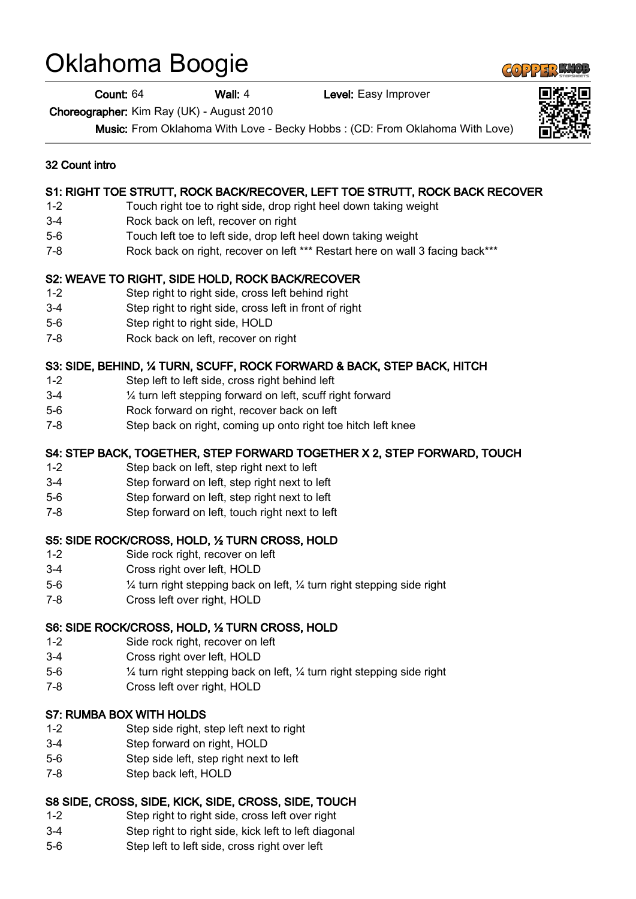# Oklahoma Boogie

**Count: 64** Wall: 4 **Level: Easy Improver** 

Choreographer: Kim Ray (UK) - August 2010

Music: From Oklahoma With Love - Becky Hobbs : (CD: From Oklahoma With Love)

#### 32 Count intro

## S1: RIGHT TOE STRUTT, ROCK BACK/RECOVER, LEFT TOE STRUTT, ROCK BACK RECOVER

- 1-2 Touch right toe to right side, drop right heel down taking weight
- 3-4 Rock back on left, recover on right
- 5-6 Touch left toe to left side, drop left heel down taking weight
- 7-8 Rock back on right, recover on left \*\*\* Restart here on wall 3 facing back\*\*\*

#### S2: WEAVE TO RIGHT, SIDE HOLD, ROCK BACK/RECOVER

- 1-2 Step right to right side, cross left behind right
- 3-4 Step right to right side, cross left in front of right
- 5-6 Step right to right side, HOLD
- 7-8 Rock back on left, recover on right

#### S3: SIDE, BEHIND, ¼ TURN, SCUFF, ROCK FORWARD & BACK, STEP BACK, HITCH

- 1-2 Step left to left side, cross right behind left
- 3-4 ¼ turn left stepping forward on left, scuff right forward
- 5-6 Rock forward on right, recover back on left
- 7-8 Step back on right, coming up onto right toe hitch left knee

### S4: STEP BACK, TOGETHER, STEP FORWARD TOGETHER X 2, STEP FORWARD, TOUCH

- 1-2 Step back on left, step right next to left
- 3-4 Step forward on left, step right next to left
- 5-6 Step forward on left, step right next to left
- 7-8 Step forward on left, touch right next to left

## S5: SIDE ROCK/CROSS, HOLD, ½ TURN CROSS, HOLD

- 1-2 Side rock right, recover on left
- 3-4 Cross right over left, HOLD
- 5-6 ¼ turn right stepping back on left, ¼ turn right stepping side right
- 7-8 Cross left over right, HOLD

#### S6: SIDE ROCK/CROSS, HOLD, ½ TURN CROSS, HOLD

- 1-2 Side rock right, recover on left
- 3-4 Cross right over left, HOLD
- 5-6 ¼ turn right stepping back on left, ¼ turn right stepping side right
- 7-8 Cross left over right, HOLD

#### S7: RUMBA BOX WITH HOLDS

- 1-2 Step side right, step left next to right
- 3-4 Step forward on right, HOLD
- 5-6 Step side left, step right next to left
- 7-8 Step back left, HOLD

## S8 SIDE, CROSS, SIDE, KICK, SIDE, CROSS, SIDE, TOUCH

- 1-2 Step right to right side, cross left over right
- 3-4 Step right to right side, kick left to left diagonal
- 5-6 Step left to left side, cross right over left